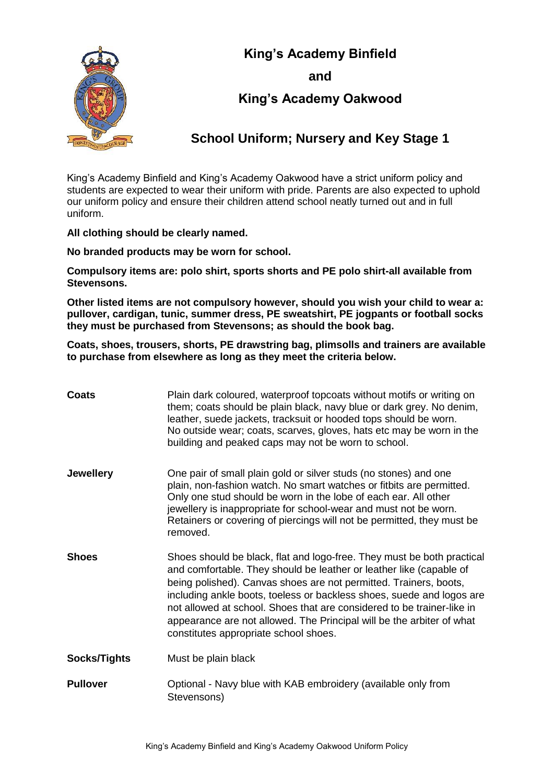

**and**



## **King's Academy Oakwood**

## **School Uniform; Nursery and Key Stage 1**

King's Academy Binfield and King's Academy Oakwood have a strict uniform policy and students are expected to wear their uniform with pride. Parents are also expected to uphold our uniform policy and ensure their children attend school neatly turned out and in full uniform.

**All clothing should be clearly named.** 

**No branded products may be worn for school.** 

**Compulsory items are: polo shirt, sports shorts and PE polo shirt-all available from Stevensons.** 

**Other listed items are not compulsory however, should you wish your child to wear a: pullover, cardigan, tunic, summer dress, PE sweatshirt, PE jogpants or football socks they must be purchased from Stevensons; as should the book bag.** 

**Coats, shoes, trousers, shorts, PE drawstring bag, plimsolls and trainers are available to purchase from elsewhere as long as they meet the criteria below.**

| <b>Coats</b>     | Plain dark coloured, waterproof topcoats without motifs or writing on<br>them; coats should be plain black, navy blue or dark grey. No denim,<br>leather, suede jackets, tracksuit or hooded tops should be worn.<br>No outside wear; coats, scarves, gloves, hats etc may be worn in the<br>building and peaked caps may not be worn to school.                                                                                                                                        |
|------------------|-----------------------------------------------------------------------------------------------------------------------------------------------------------------------------------------------------------------------------------------------------------------------------------------------------------------------------------------------------------------------------------------------------------------------------------------------------------------------------------------|
| <b>Jewellery</b> | One pair of small plain gold or silver studs (no stones) and one<br>plain, non-fashion watch. No smart watches or fitbits are permitted.<br>Only one stud should be worn in the lobe of each ear. All other<br>jewellery is inappropriate for school-wear and must not be worn.<br>Retainers or covering of piercings will not be permitted, they must be<br>removed.                                                                                                                   |
| <b>Shoes</b>     | Shoes should be black, flat and logo-free. They must be both practical<br>and comfortable. They should be leather or leather like (capable of<br>being polished). Canvas shoes are not permitted. Trainers, boots,<br>including ankle boots, toeless or backless shoes, suede and logos are<br>not allowed at school. Shoes that are considered to be trainer-like in<br>appearance are not allowed. The Principal will be the arbiter of what<br>constitutes appropriate school shoes. |
| Socks/Tights     | Must be plain black                                                                                                                                                                                                                                                                                                                                                                                                                                                                     |
| <b>Pullover</b>  | Optional - Navy blue with KAB embroidery (available only from<br>Stevensons)                                                                                                                                                                                                                                                                                                                                                                                                            |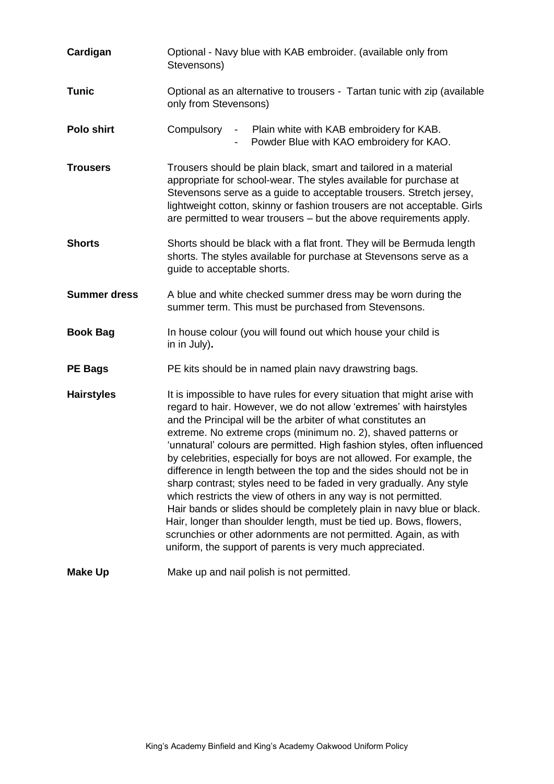| Cardigan            | Optional - Navy blue with KAB embroider. (available only from<br>Stevensons)                                                                                                                                                                                                                                                                                                                                                                                                                                                                                                                                                                                                                                                                                                                                                                                                                                                             |
|---------------------|------------------------------------------------------------------------------------------------------------------------------------------------------------------------------------------------------------------------------------------------------------------------------------------------------------------------------------------------------------------------------------------------------------------------------------------------------------------------------------------------------------------------------------------------------------------------------------------------------------------------------------------------------------------------------------------------------------------------------------------------------------------------------------------------------------------------------------------------------------------------------------------------------------------------------------------|
| <b>Tunic</b>        | Optional as an alternative to trousers - Tartan tunic with zip (available<br>only from Stevensons)                                                                                                                                                                                                                                                                                                                                                                                                                                                                                                                                                                                                                                                                                                                                                                                                                                       |
| Polo shirt          | Compulsory<br>- Plain white with KAB embroidery for KAB.<br>Powder Blue with KAO embroidery for KAO.                                                                                                                                                                                                                                                                                                                                                                                                                                                                                                                                                                                                                                                                                                                                                                                                                                     |
| <b>Trousers</b>     | Trousers should be plain black, smart and tailored in a material<br>appropriate for school-wear. The styles available for purchase at<br>Stevensons serve as a guide to acceptable trousers. Stretch jersey,<br>lightweight cotton, skinny or fashion trousers are not acceptable. Girls<br>are permitted to wear trousers – but the above requirements apply.                                                                                                                                                                                                                                                                                                                                                                                                                                                                                                                                                                           |
| <b>Shorts</b>       | Shorts should be black with a flat front. They will be Bermuda length<br>shorts. The styles available for purchase at Stevensons serve as a<br>guide to acceptable shorts.                                                                                                                                                                                                                                                                                                                                                                                                                                                                                                                                                                                                                                                                                                                                                               |
| <b>Summer dress</b> | A blue and white checked summer dress may be worn during the<br>summer term. This must be purchased from Stevensons.                                                                                                                                                                                                                                                                                                                                                                                                                                                                                                                                                                                                                                                                                                                                                                                                                     |
| <b>Book Bag</b>     | In house colour (you will found out which house your child is<br>in in July).                                                                                                                                                                                                                                                                                                                                                                                                                                                                                                                                                                                                                                                                                                                                                                                                                                                            |
| <b>PE Bags</b>      | PE kits should be in named plain navy drawstring bags.                                                                                                                                                                                                                                                                                                                                                                                                                                                                                                                                                                                                                                                                                                                                                                                                                                                                                   |
| <b>Hairstyles</b>   | It is impossible to have rules for every situation that might arise with<br>regard to hair. However, we do not allow 'extremes' with hairstyles<br>and the Principal will be the arbiter of what constitutes an<br>extreme. No extreme crops (minimum no. 2), shaved patterns or<br>'unnatural' colours are permitted. High fashion styles, often influenced<br>by celebrities, especially for boys are not allowed. For example, the<br>difference in length between the top and the sides should not be in<br>sharp contrast; styles need to be faded in very gradually. Any style<br>which restricts the view of others in any way is not permitted.<br>Hair bands or slides should be completely plain in navy blue or black.<br>Hair, longer than shoulder length, must be tied up. Bows, flowers,<br>scrunchies or other adornments are not permitted. Again, as with<br>uniform, the support of parents is very much appreciated. |
| <b>Make Up</b>      | Make up and nail polish is not permitted.                                                                                                                                                                                                                                                                                                                                                                                                                                                                                                                                                                                                                                                                                                                                                                                                                                                                                                |